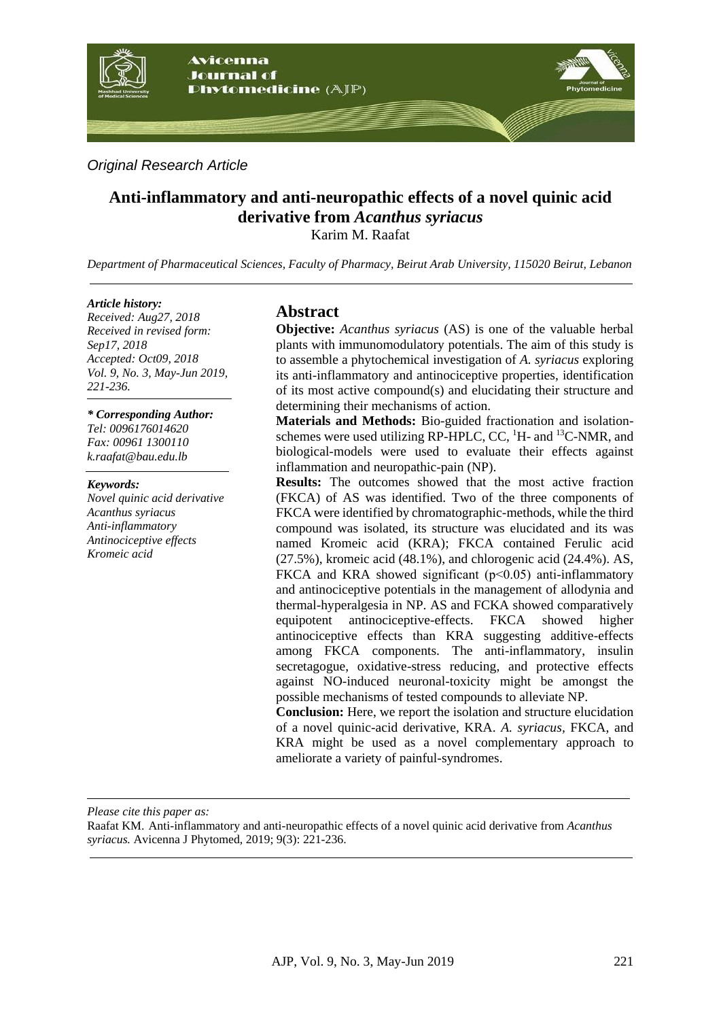

*Original Research Article*

# **Anti-inflammatory and anti-neuropathic effects of a novel quinic acid derivative from** *Acanthus syriacus*

Karim M. Raafat

*Department of Pharmaceutical Sciences, Faculty of Pharmacy, Beirut Arab University, 115020 Beirut, Lebanon*

#### *Article history:*

*Received: Aug27, 2018 Received in revised form: Sep17, 2018 Accepted: Oct09, 2018 Vol. 9, No. 3, May-Jun 2019, 221-236.*

# *\* Corresponding Author:*

*Tel: 0096176014620 Fax: 00961 1300110 k.raafat@bau.edu.lb*

#### *Keywords:*

*Novel quinic acid derivative Acanthus syriacus Anti-inflammatory Antinociceptive effects Kromeic acid*

## **Abstract**

**Objective:** *Acanthus syriacus* (AS) is one of the valuable herbal plants with immunomodulatory potentials. The aim of this study is to assemble a phytochemical investigation of *A. syriacus* exploring its anti-inflammatory and antinociceptive properties, identification of its most active compound(s) and elucidating their structure and determining their mechanisms of action.

**Materials and Methods:** Bio-guided fractionation and isolationschemes were used utilizing RP-HPLC, CC,  ${}^{1}$ H- and  ${}^{13}$ C-NMR, and biological-models were used to evaluate their effects against inflammation and neuropathic-pain (NP).

**Results:** The outcomes showed that the most active fraction (FKCA) of AS was identified. Two of the three components of FKCA were identified by chromatographic-methods, while the third compound was isolated, its structure was elucidated and its was named Kromeic acid (KRA); FKCA contained Ferulic acid (27.5%), kromeic acid (48.1%), and chlorogenic acid (24.4%). AS, FKCA and KRA showed significant  $(p<0.05)$  anti-inflammatory and antinociceptive potentials in the management of allodynia and thermal-hyperalgesia in NP. AS and FCKA showed comparatively equipotent antinociceptive-effects. FKCA showed higher antinociceptive effects than KRA suggesting additive-effects among FKCA components. The anti-inflammatory, insulin secretagogue, oxidative-stress reducing, and protective effects against NO-induced neuronal-toxicity might be amongst the possible mechanisms of tested compounds to alleviate NP.

**Conclusion:** Here, we report the isolation and structure elucidation of a novel quinic-acid derivative, KRA. *A. syriacus,* FKCA, and KRA might be used as a novel complementary approach to ameliorate a variety of painful-syndromes.

*Please cite this paper as:* 

Raafat KM. Anti-inflammatory and anti-neuropathic effects of a novel quinic acid derivative from *Acanthus syriacus.* Avicenna J Phytomed, 2019; 9(3): 221-236.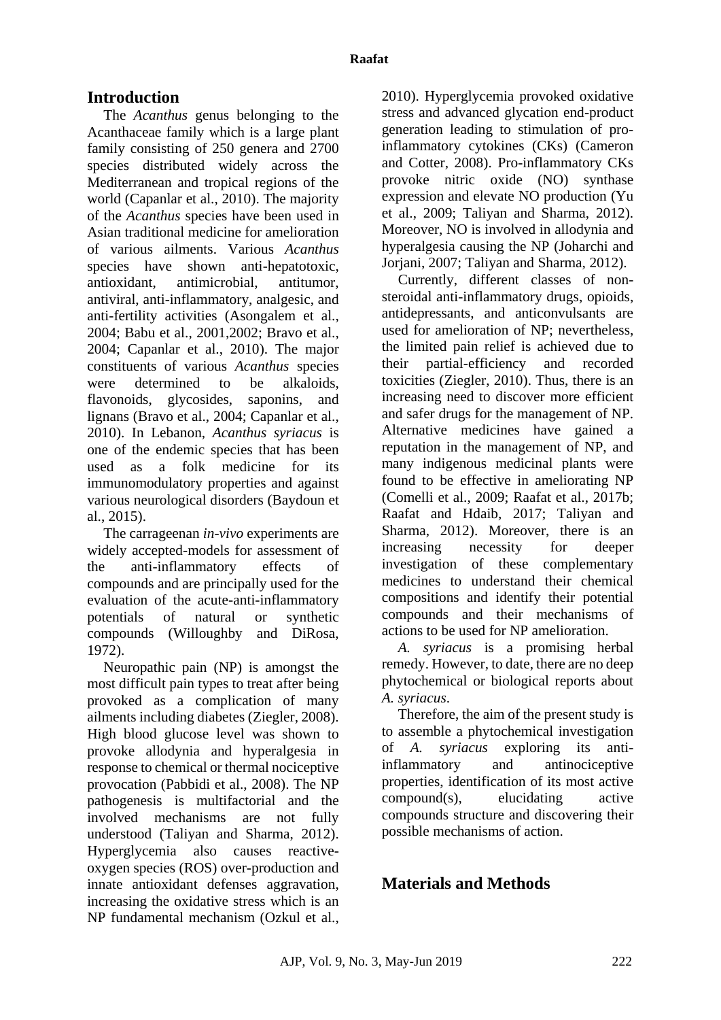# **Introduction**

The *Acanthus* genus belonging to the Acanthaceae family which is a large plant family consisting of 250 genera and 2700 species distributed widely across the Mediterranean and tropical regions of the world [\(Capanlar et al., 2010\)](#page-14-0). The majority of the *Acanthus* species have been used in Asian traditional medicine for amelioration of various ailments. Various *Acanthus*  species have shown anti-hepatotoxic, antioxidant, antimicrobial, antitumor, antiviral, anti-inflammatory, analgesic, and anti-fertility activities [\(Asongalem et al.,](#page-13-0)  [2004;](#page-13-0) [Babu et al., 2001,](#page-13-1)[2002;](#page-14-1) [Bravo et al.,](#page-14-2)  [2004;](#page-14-2) [Capanlar et al., 2010\)](#page-14-0). The major constituents of various *Acanthus* species were determined to be alkaloids, flavonoids, glycosides, saponins, and lignans [\(Bravo et al., 2004;](#page-14-2) [Capanlar et al.,](#page-14-0)  [2010\)](#page-14-0). In Lebanon, *Acanthus syriacus* is one of the endemic species that has been used as a folk medicine for its immunomodulatory properties and against various neurological disorders [\(Baydoun et](#page-14-3)  [al., 2015\)](#page-14-3).

The carrageenan *in-vivo* experiments are widely accepted-models for assessment of the anti-inflammatory effects of compounds and are principally used for the evaluation of the acute-anti-inflammatory potentials of natural or synthetic compounds [\(Willoughby and DiRosa,](#page-15-0)  [1972\)](#page-15-0).

Neuropathic pain (NP) is amongst the most difficult pain types to treat after being provoked as a complication of many ailments including diabetes [\(Ziegler, 2008\)](#page-15-1). High blood glucose level was shown to provoke allodynia and hyperalgesia in response to chemical or thermal nociceptive provocation (Pabbidi [et al., 2008\)](#page-14-4). The NP pathogenesis is multifactorial and the involved mechanisms are not fully understood [\(Taliyan and Sharma, 2012\)](#page-15-2). Hyperglycemia also causes reactiveoxygen species (ROS) over-production and innate antioxidant defenses aggravation, increasing the oxidative stress which is an NP fundamental mechanism [\(Ozkul et al.,](#page-14-5) 

[2010\)](#page-14-5). Hyperglycemia provoked oxidative stress and advanced glycation end-product generation leading to stimulation of proinflammatory cytokines (CKs) [\(Cameron](#page-14-6)  [and Cotter, 2008\)](#page-14-6). Pro-inflammatory CKs provoke nitric oxide (NO) synthase expression and elevate NO production (Yu et al., 2009; Taliyan and Sharma, 2012). Moreover, NO is involved in allodynia and hyperalgesia causing the NP [\(Joharchi and](#page-14-7)  [Jorjani, 2007;](#page-14-7) [Taliyan and Sharma, 2012\)](#page-15-2).

Currently, different classes of nonsteroidal anti-inflammatory drugs, opioids, antidepressants, and anticonvulsants are used for amelioration of NP; nevertheless, the limited pain relief is achieved due to their partial-efficiency and recorded toxicities [\(Ziegler, 2010\)](#page-13-1). Thus, there is an increasing need to discover more efficient and safer drugs for the management of NP. Alternative medicines have gained a reputation in the management of NP, and many indigenous medicinal plants were found to be effective in ameliorating NP [\(Comelli et al., 2009;](#page-14-8) [Raafat et al., 2017b;](#page-14-9) [Raafat and Hdaib, 2017;](#page-15-3) [Taliyan and](#page-15-2)  [Sharma, 2012\)](#page-15-2). Moreover, there is an increasing necessity for deeper investigation of these complementary medicines to understand their chemical compositions and identify their potential compounds and their mechanisms of actions to be used for NP amelioration.

*A. syriacus* is a promising herbal remedy. However, to date, there are no deep phytochemical or biological reports about *A. syriacus*.

Therefore, the aim of the present study is to assemble a phytochemical investigation of *A. syriacus* exploring its antiinflammatory and antinociceptive properties, identification of its most active compound(s), elucidating active compounds structure and discovering their possible mechanisms of action.

# **Materials and Methods**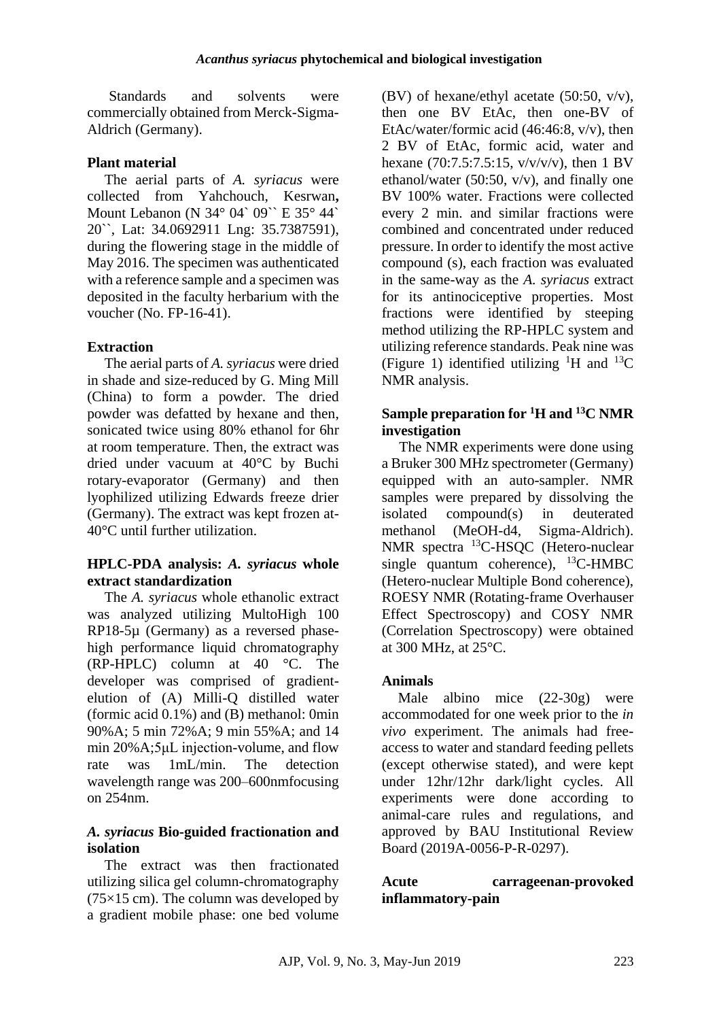Standards and solvents were commercially obtained from Merck-Sigma-Aldrich (Germany).

## **Plant material**

The aerial parts of *A. syriacus* were collected from Yahchouch, Kesrwan**,**  Mount Lebanon (N 34° 04` 09`` E 35° 44` 20``, Lat: 34.0692911 Lng: 35.7387591), during the flowering stage in the middle of May 2016. The specimen was authenticated with a reference sample and a specimen was deposited in the faculty herbarium with the voucher (No. FP-16-41).

## **Extraction**

The aerial parts of *A. syriacus* were dried in shade and size-reduced by G. Ming Mill (China) to form a powder. The dried powder was defatted by hexane and then, sonicated twice using 80% ethanol for 6hr at room temperature. Then, the extract was dried under vacuum at 40°C by Buchi rotary-evaporator (Germany) and then lyophilized utilizing Edwards freeze drier (Germany). The extract was kept frozen at-40°C until further utilization.

### **HPLC-PDA analysis:** *A. syriacus* **whole extract standardization**

The *A. syriacus* whole ethanolic extract was analyzed utilizing MultoHigh 100 RP18-5µ (Germany) as a reversed phasehigh performance liquid chromatography (RP-HPLC) column at 40 °C. The developer was comprised of gradientelution of (A) Milli-Q distilled water (formic acid 0.1%) and (B) methanol: 0min 90%A; 5 min 72%A; 9 min 55%A; and 14 min 20%A;5μL injection-volume, and flow rate was 1mL/min. The detection wavelength range was 200–600nmfocusing on 254nm.

### *A. syriacus* **Bio-guided fractionation and isolation**

The extract was then fractionated utilizing silica gel column-chromatography  $(75\times15$  cm). The column was developed by a gradient mobile phase: one bed volume

(BV) of hexane/ethyl acetate  $(50:50, v/v)$ , then one BV EtAc, then one-BV of EtAc/water/formic acid (46:46:8, v/v), then 2 BV of EtAc, formic acid, water and hexane (70:7.5:7.5:15, v/v/v/v), then 1 BV ethanol/water (50:50, v/v), and finally one BV 100% water. Fractions were collected every 2 min. and similar fractions were combined and concentrated under reduced pressure. In order to identify the most active compound (s), each fraction was evaluated in the same-way as the *A. syriacus* extract for its antinociceptive properties. Most fractions were identified by steeping method utilizing the RP-HPLC system and utilizing reference standards. Peak nine was (Figure 1) identified utilizing <sup>1</sup>H and <sup>13</sup>C NMR analysis.

## **Sample preparation for <sup>1</sup>H and <sup>13</sup>C NMR investigation**

The NMR experiments were done using a Bruker 300 MHz spectrometer (Germany) equipped with an auto-sampler. NMR samples were prepared by dissolving the isolated compound(s) in deuterated methanol (MeOH-d4, Sigma-Aldrich). NMR spectra <sup>13</sup>C-HSQC (Hetero-nuclear single quantum coherence),  $^{13}$ C-HMBC (Hetero-nuclear Multiple Bond coherence), ROESY NMR (Rotating-frame Overhauser Effect Spectroscopy) and COSY NMR (Correlation Spectroscopy) were obtained at 300 MHz, at 25°C.

## **Animals**

Male albino mice (22-30g) were accommodated for one week prior to the *in vivo* experiment. The animals had freeaccess to water and standard feeding pellets (except otherwise stated), and were kept under 12hr/12hr dark/light cycles. All experiments were done according to animal-care rules and regulations, and approved by BAU Institutional Review Board (2019A-0056-P-R-0297).

## **Acute carrageenan-provoked inflammatory-pain**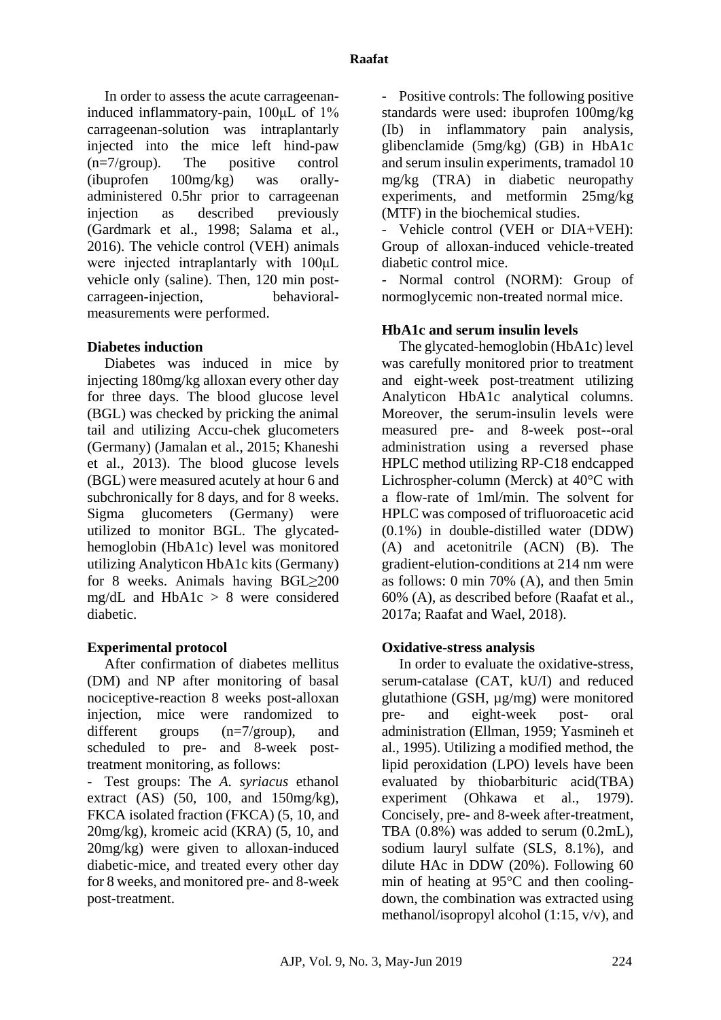In order to assess the acute carrageenaninduced inflammatory-pain, 100μL of 1% carrageenan-solution was intraplantarly injected into the mice left hind-paw (n=7/group). The positive control (ibuprofen 100mg/kg) was orallyadministered 0.5hr prior to carrageenan injection as described previously [\(Gardmark et al., 1998;](#page-14-10) [Salama et al.,](#page-15-4)  [2016\)](#page-15-4). The vehicle control (VEH) animals were injected intraplantarly with 100μL vehicle only (saline). Then, 120 min postcarrageen-injection, behavioralmeasurements were performed.

### **Diabetes induction**

Diabetes was induced in mice by injecting 180mg/kg alloxan every other day for three days. The blood glucose level (BGL) was checked by pricking the animal tail and utilizing Accu-chek glucometers (Germany) [\(Jamalan et al., 2015;](#page-14-11) [Khaneshi](#page-14-12)  [et al., 2013\)](#page-14-12). The blood glucose levels (BGL) were measured acutely at hour 6 and subchronically for 8 days, and for 8 weeks. Sigma glucometers (Germany) were utilized to monitor BGL. The glycatedhemoglobin (HbA1c) level was monitored utilizing Analyticon HbA1c kits (Germany) for 8 weeks. Animals having BGL≥200 mg/dL and HbA1c > 8 were considered diabetic.

## **Experimental protocol**

After confirmation of diabetes mellitus (DM) and NP after monitoring of basal nociceptive-reaction 8 weeks post-alloxan injection, mice were randomized to different groups (n=7/group), and scheduled to pre- and 8-week posttreatment monitoring, as follows:

- Test groups: The *A. syriacus* ethanol extract  $(AS)$   $(50, 100, and 150mg/kg)$ , FKCA isolated fraction (FKCA) (5, 10, and 20mg/kg), kromeic acid (KRA) (5, 10, and 20mg/kg) were given to alloxan-induced diabetic-mice, and treated every other day for 8 weeks, and monitored pre- and 8-week post-treatment.

- Positive controls: The following positive standards were used: ibuprofen 100mg/kg (Ib) in inflammatory pain analysis, glibenclamide (5mg/kg) (GB) in HbA1c and serum insulin experiments, tramadol 10 mg/kg (TRA) in diabetic neuropathy experiments, and metformin 25mg/kg (MTF) in the biochemical studies.

Vehicle control (VEH or DIA+VEH): Group of alloxan-induced vehicle-treated diabetic control mice.

Normal control (NORM): Group of normoglycemic non-treated normal mice.

### **HbA1c and serum insulin levels**

The glycated-hemoglobin (HbA1c) level was carefully monitored prior to treatment and eight-week post-treatment utilizing Analyticon HbA1c analytical columns. Moreover, the serum-insulin levels were measured pre- and 8-week post--oral administration using a reversed phase HPLC method utilizing RP-C18 endcapped Lichrospher-column (Merck) at 40°C with a flow-rate of 1ml/min. The solvent for HPLC was composed of trifluoroacetic acid (0.1%) in double-distilled water (DDW) (A) and acetonitrile (ACN) (B). The gradient-elution-conditions at 214 nm were as follows: 0 min 70% (A), and then 5min 60% (A), as described before [\(Raafat et al.,](#page-14-13)  [2017a;](#page-14-13) [Raafat and Wael, 2018\)](#page-15-5).

## **Oxidative-stress analysis**

In order to evaluate the oxidative-stress, serum-catalase (CAT, kU/I) and reduced glutathione (GSH, µg/mg) were monitored pre- and eight-week post- oral administration [\(Ellman, 1959;](#page-14-14) [Yasmineh et](#page-15-6)  [al., 1995\)](#page-15-6). Utilizing a modified method, the lipid peroxidation (LPO) levels have been evaluated by thiobarbituric acid(TBA) experiment [\(Ohkawa et al., 1979\)](#page-14-15). Concisely, pre- and 8-week after-treatment, TBA (0.8%) was added to serum (0.2mL), sodium lauryl sulfate (SLS, 8.1%), and dilute HAc in DDW (20%). Following 60 min of heating at 95°C and then coolingdown, the combination was extracted using methanol/isopropyl alcohol (1:15, v/v), and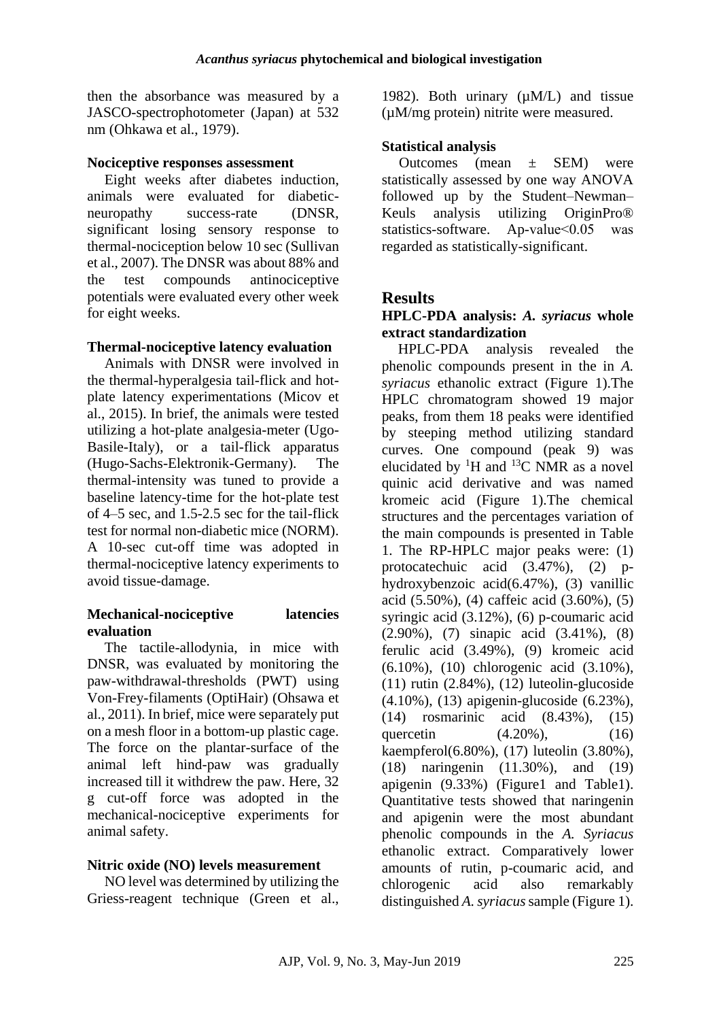then the absorbance was measured by a JASCO-spectrophotometer (Japan) at 532 nm [\(Ohkawa et al., 1979\)](#page-14-15).

#### **Nociceptive responses assessment**

Eight weeks after diabetes induction, animals were evaluated for diabeticneuropathy success-rate (DNSR, significant losing sensory response to thermal-nociception below 10 sec [\(Sullivan](#page-15-7)  [et al., 2007\)](#page-15-7). The DNSR was about 88% and the test compounds antinociceptive potentials were evaluated every other week for eight weeks.

### **Thermal-nociceptive latency evaluation**

Animals with DNSR were involved in the thermal-hyperalgesia tail-flick and hotplate latency experimentations [\(Micov et](#page-14-16)  [al., 2015\)](#page-14-16). In brief, the animals were tested utilizing a hot-plate analgesia-meter (Ugo-Basile-Italy), or a tail-flick apparatus (Hugo-Sachs-Elektronik-Germany). The thermal-intensity was tuned to provide a baseline latency-time for the hot-plate test of 4–5 sec, and 1.5-2.5 sec for the tail-flick test for normal non-diabetic mice (NORM). A 10-sec cut-off time was adopted in thermal-nociceptive latency experiments to avoid tissue-damage.

## **Mechanical-nociceptive latencies evaluation**

The tactile-allodynia, in mice with DNSR, was evaluated by monitoring the paw-withdrawal-thresholds (PWT) using Von-Frey-filaments (OptiHair) [\(Ohsawa et](#page-14-17)  [al., 2011\)](#page-14-17). In brief, mice were separately put on a mesh floor in a bottom-up plastic cage. The force on the plantar-surface of the animal left hind-paw was gradually increased till it withdrew the paw. Here, 32 g cut-off force was adopted in the mechanical-nociceptive experiments for animal safety.

#### **Nitric oxide (NO) levels measurement**

NO level was determined by utilizing the Griess-reagent technique [\(Green et al.,](#page-14-18)  [1982\)](#page-14-18). Both urinary  $(\mu M/L)$  and tissue (µM/mg protein) nitrite were measured.

## **Statistical analysis**

Outcomes (mean ± SEM) were statistically assessed by one way ANOVA followed up by the Student–Newman– Keuls analysis utilizing OriginPro® statistics-software. Ap-value<0.05 was regarded as statistically-significant.

# **Results**

### **HPLC-PDA analysis:** *A. syriacus* **whole extract standardization**

HPLC-PDA analysis revealed the phenolic compounds present in the in *A. syriacus* ethanolic extract (Figure 1).The HPLC chromatogram showed 19 major peaks, from them 18 peaks were identified by steeping method utilizing standard curves. One compound (peak 9) was elucidated by  ${}^{1}H$  and  ${}^{13}C$  NMR as a novel quinic acid derivative and was named kromeic acid (Figure 1).The chemical structures and the percentages variation of the main compounds is presented in Table 1. The RP-HPLC major peaks were: (1) protocatechuic acid (3.47%), (2) phydroxybenzoic acid(6.47%), (3) vanillic acid (5.50%), (4) caffeic acid (3.60%), (5) syringic acid (3.12%), (6) p-coumaric acid (2.90%), (7) sinapic acid (3.41%), (8) ferulic acid (3.49%), (9) kromeic acid (6.10%), (10) chlorogenic acid (3.10%),  $(11)$  rutin  $(2.84\%)$ ,  $(12)$  luteolin-glucoside (4.10%), (13) apigenin-glucoside (6.23%), (14) rosmarinic acid (8.43%), (15) quercetin (4.20%), (16) kaempferol(6.80%), (17) luteolin (3.80%), (18) naringenin (11.30%), and (19) apigenin (9.33%) (Figure1 and Table1). Quantitative tests showed that naringenin and apigenin were the most abundant phenolic compounds in the *A. Syriacus* ethanolic extract. Comparatively lower amounts of rutin, p-coumaric acid, and chlorogenic acid also remarkably distinguished *A. syriacus*sample (Figure 1).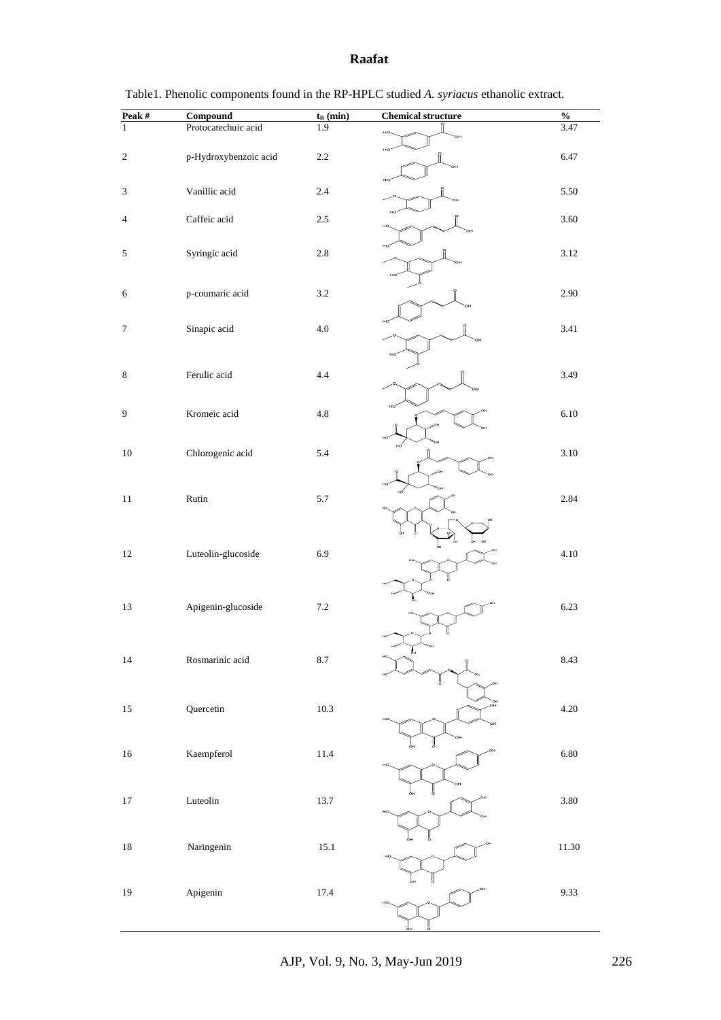#### **Raafat**

| Peak $\#$                   | <b>Compound</b>       | $t_{R}$ (min) | <b>Chemical structure</b> | $\frac{1}{2}$ |
|-----------------------------|-----------------------|---------------|---------------------------|---------------|
| $\mathbf{1}$                | Protocatechuic acid   | 1.9           | HO                        | 3.47          |
|                             |                       |               | Н¢                        |               |
| $\sqrt{2}$                  | p-Hydroxybenzoic acid | $2.2\,$       |                           | 6.47          |
|                             |                       |               |                           |               |
| $\ensuremath{\mathfrak{Z}}$ | Vanillic acid         | $2.4\,$       |                           | 5.50          |
|                             |                       |               |                           |               |
| 4                           | Caffeic acid          | $2.5\,$       |                           | 3.60          |
|                             |                       |               | HO                        |               |
|                             |                       |               |                           |               |
| $\sqrt{5}$                  | Syringic acid         | $2.8\,$       |                           | 3.12          |
|                             |                       |               |                           |               |
| 6                           | p-coumaric acid       | $3.2\,$       |                           | 2.90          |
|                             |                       |               |                           |               |
|                             |                       |               |                           |               |
| $\tau$                      | Sinapic acid          | $4.0\,$       |                           | 3.41          |
|                             |                       |               |                           |               |
|                             |                       |               |                           |               |
| 8                           | Ferulic acid          | $4.4\,$       |                           | 3.49          |
|                             |                       |               |                           |               |
| 9                           | Kromeic acid          | $4.8\,$       |                           | 6.10          |
|                             |                       |               |                           |               |
|                             |                       |               |                           |               |
| $10\,$                      | Chlorogenic acid      | 5.4           |                           | 3.10          |
|                             |                       |               |                           |               |
|                             |                       |               |                           |               |
| $11\,$                      | Rutin                 | 5.7           |                           | 2.84          |
|                             |                       |               |                           |               |
|                             |                       |               |                           |               |
|                             |                       |               |                           |               |
| 12                          | Luteolin-glucoside    | 6.9           |                           | 4.10          |
|                             |                       |               |                           |               |
|                             |                       |               |                           |               |
| 13                          | Apigenin-glucoside    | $7.2\,$       |                           | 6.23          |
|                             |                       |               |                           |               |
|                             |                       |               |                           |               |
|                             |                       |               | å.,                       |               |
| $14\,$                      | Rosmarinic acid       | $8.7\,$       |                           | 8.43          |
|                             |                       |               |                           |               |
|                             |                       |               |                           |               |
| $15\,$                      | Quercetin             | 10.3          |                           | 4.20          |
|                             |                       |               |                           |               |
|                             |                       |               |                           |               |
| $16\,$                      | Kaempferol            | $11.4\,$      |                           | 6.80          |
|                             |                       |               |                           |               |
|                             |                       |               |                           |               |
|                             | Luteolin              |               |                           | 3.80          |
| $17\,$                      |                       | 13.7          | HC                        |               |
|                             |                       |               |                           |               |
|                             |                       |               |                           |               |
| $18\,$                      | Naringenin            | $15.1\,$      |                           | 11.30         |
|                             |                       |               |                           |               |
|                             |                       |               |                           |               |
| $19\,$                      | Apigenin              | 17.4          |                           | 9.33          |
|                             |                       |               |                           |               |
|                             |                       |               |                           |               |

|  | Table 1. Phenolic components found in the RP-HPLC studied A, <i>syriacus</i> ethanolic extract. |  |
|--|-------------------------------------------------------------------------------------------------|--|
|--|-------------------------------------------------------------------------------------------------|--|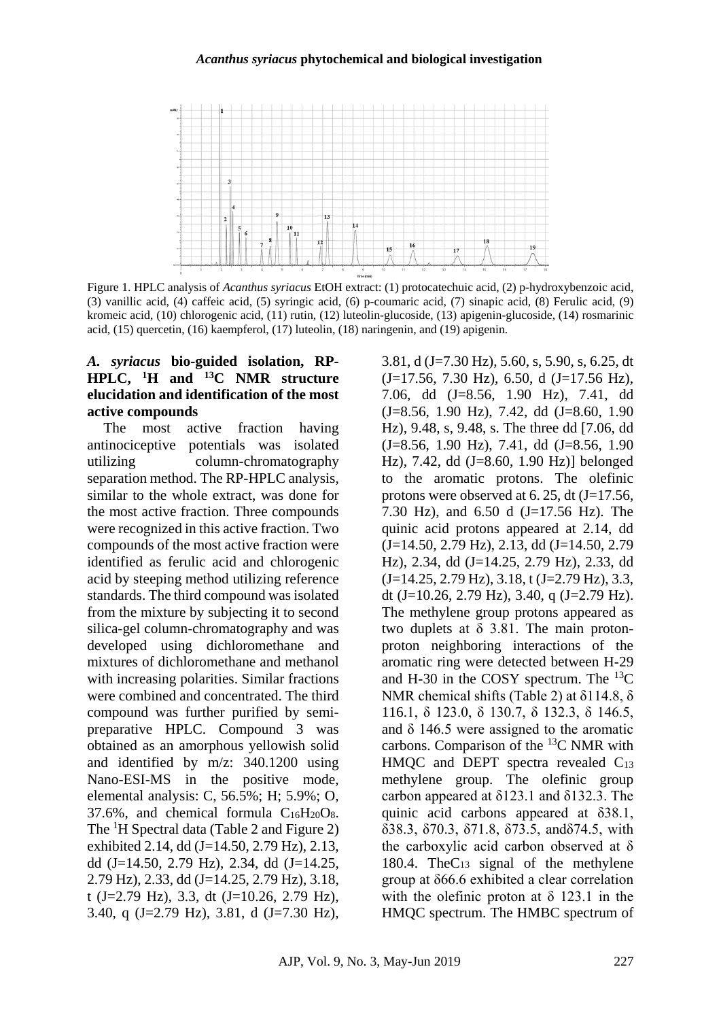#### *Acanthus syriacus* **phytochemical and biological investigation**



Figure 1. HPLC analysis of *Acanthus syriacus* EtOH extract: (1) protocatechuic acid, (2) p-hydroxybenzoic acid, (3) vanillic acid, (4) caffeic acid, (5) syringic acid, (6) p-coumaric acid, (7) sinapic acid, (8) Ferulic acid, (9) kromeic acid, (10) chlorogenic acid, (11) rutin, (12) luteolin-glucoside, (13) apigenin-glucoside, (14) rosmarinic acid, (15) quercetin, (16) kaempferol, (17) luteolin, (18) naringenin, and (19) apigenin.

#### *A. syriacus* **bio-guided isolation, RP-HPLC, <sup>1</sup>H and <sup>13</sup>C NMR structure elucidation and identification of the most active compounds**

The most active fraction having antinociceptive potentials was isolated utilizing column-chromatography separation method. The RP-HPLC analysis, similar to the whole extract, was done for the most active fraction. Three compounds were recognized in this active fraction. Two compounds of the most active fraction were identified as ferulic acid and chlorogenic acid by steeping method utilizing reference standards. The third compound was isolated from the mixture by subjecting it to second silica-gel column-chromatography and was developed using dichloromethane and mixtures of dichloromethane and methanol with increasing polarities. Similar fractions were combined and concentrated. The third compound was further purified by semipreparative HPLC. Compound 3 was obtained as an amorphous yellowish solid and identified by m/z: 340.1200 using Nano-ESI-MS in the positive mode, elemental analysis: C, 56.5%; H; 5.9%; O, 37.6%, and chemical formula C16H20O8. The <sup>1</sup>H Spectral data (Table 2 and Figure 2) exhibited 2.14, dd (J=14.50, 2.79 Hz), 2.13, dd (J=14.50, 2.79 Hz), 2.34, dd (J=14.25, 2.79 Hz), 2.33, dd (J=14.25, 2.79 Hz), 3.18, t (J=2.79 Hz), 3.3, dt (J=10.26, 2.79 Hz), 3.40, q (J=2.79 Hz), 3.81, d (J=7.30 Hz),

3.81, d (J=7.30 Hz), 5.60, s, 5.90, s, 6.25, dt  $(J=17.56, 7.30 \text{ Hz})$ , 6.50, d  $(J=17.56 \text{ Hz})$ , 7.06, dd (J=8.56, 1.90 Hz), 7.41, dd (J=8.56, 1.90 Hz), 7.42, dd (J=8.60, 1.90 Hz), 9.48, s, 9.48, s. The three dd [7.06, dd  $(J=8.56, 1.90$  Hz), 7.41, dd  $(J=8.56, 1.90)$ Hz), 7.42, dd (J=8.60, 1.90 Hz)] belonged to the aromatic protons. The olefinic protons were observed at  $6.25$ , dt  $(J=17.56)$ , 7.30 Hz), and 6.50 d (J=17.56 Hz). The quinic acid protons appeared at 2.14, dd  $(J=14.50, 2.79$  Hz), 2.13, dd  $(J=14.50, 2.79$ Hz), 2.34, dd (J=14.25, 2.79 Hz), 2.33, dd  $(J=14.25, 2.79$  Hz),  $3.18$ , t  $(J=2.79$  Hz),  $3.3$ , dt (J=10.26, 2.79 Hz), 3.40, q (J=2.79 Hz). The methylene group protons appeared as two duplets at  $\delta$  3.81. The main protonproton neighboring interactions of the aromatic ring were detected between H-29 and H-30 in the COSY spectrum. The  $^{13}C$ NMR chemical shifts (Table 2) at δ114.8, δ 116.1, δ 123.0, δ 130.7, δ 132.3, δ 146.5, and  $\delta$  146.5 were assigned to the aromatic carbons. Comparison of the  ${}^{13}C$  NMR with HMQC and DEPT spectra revealed C<sup>13</sup> methylene group. The olefinic group carbon appeared at δ123.1 and δ132.3. The quinic acid carbons appeared at δ38.1, δ38.3, δ70.3, δ71.8, δ73.5, andδ74.5, with the carboxylic acid carbon observed at δ 180.4. TheC<sup>13</sup> signal of the methylene group at δ66.6 exhibited a clear correlation with the olefinic proton at  $\delta$  123.1 in the HMQC spectrum. The HMBC spectrum of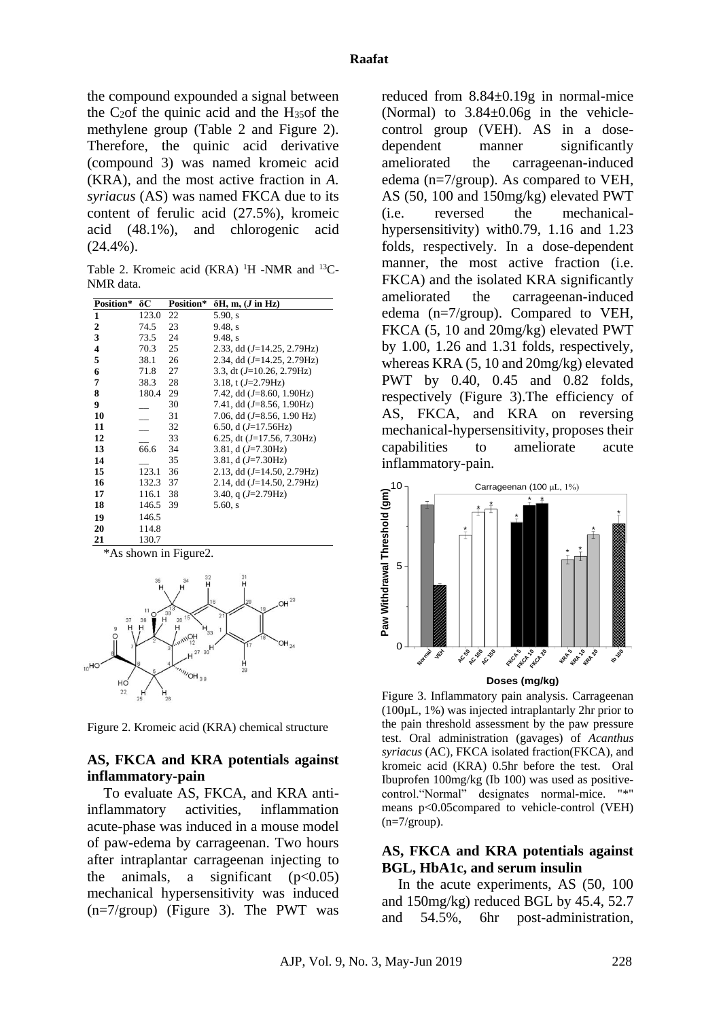the compound expounded a signal between the C2of the quinic acid and the H35of the methylene group (Table 2 and Figure 2). Therefore, the quinic acid derivative (compound 3) was named kromeic acid (KRA), and the most active fraction in *A. syriacus* (AS) was named FKCA due to its content of ferulic acid (27.5%), kromeic acid (48.1%), and chlorogenic acid  $(24.4\%)$ .

Table 2. Kromeic acid (KRA)  $^1$ H -NMR and  $^{13}$ C-NMR data.

| Position*    | δC    | Position* | $\delta H$ , m, ( <i>J</i> in Hz)    |
|--------------|-------|-----------|--------------------------------------|
| $\mathbf{1}$ | 123.0 | 22        | 5.90, s                              |
| 2            | 74.5  | 23        | 9.48, s                              |
| 3            | 73.5  | 24        | 9.48. s                              |
| 4            | 70.3  | 25        | 2.33, dd $(J=14.25, 2.79$ Hz)        |
| 5            | 38.1  | 26        | 2.34, dd $(J=14.25, 2.79$ Hz)        |
| 6            | 71.8  | 27        | 3.3, dt $(J=10.26, 2.79\text{Hz})$   |
| 7            | 38.3  | 28        | 3.18, t $(J=2.79\text{Hz})$          |
| 8            | 180.4 | 29        | 7.42, dd $(J=8.60, 1.90 \text{Hz})$  |
| 9            |       | 30        | 7.41, dd $(J=8.56, 1.90\text{Hz})$   |
| 10           |       | 31        | 7.06, dd $(J=8.56, 1.90 \text{ Hz})$ |
| 11           |       | 32        | 6.50, d $(J=17.56\text{Hz})$         |
| 12           |       | 33        | 6.25, dt $(J=17.56, 7.30\text{Hz})$  |
| 13           | 66.6  | 34        | 3.81, $d(J=7.30Hz)$                  |
| 14           |       | 35        | 3.81, d $(J=7.30\text{Hz})$          |
| 15           | 123.1 | 36        | 2.13, dd $(J=14.50, 2.79\text{Hz})$  |
| 16           | 132.3 | 37        | 2.14, dd $(J=14.50, 2.79\text{Hz})$  |
| 17           | 116.1 | 38        | 3.40, q $(J=2.79\text{Hz})$          |
| 18           | 146.5 | 39        | $5.60$ , s                           |
| 19           | 146.5 |           |                                      |
| 20           | 114.8 |           |                                      |
| 21           | 130.7 |           |                                      |

\*As shown in Figure2.



Figure 2. Kromeic acid (KRA) chemical structure

#### **AS, FKCA and KRA potentials against inflammatory-pain**

To evaluate AS, FKCA, and KRA antiinflammatory activities, inflammation acute-phase was induced in a mouse model of paw-edema by carrageenan. Two hours after intraplantar carrageenan injecting to the animals, a significant  $(p<0.05)$ mechanical hypersensitivity was induced  $(n=7/\text{group})$  (Figure 3). The PWT was

reduced from 8.84±0.19g in normal-mice (Normal) to 3.84±0.06g in the vehiclecontrol group (VEH). AS in a dosedependent manner significantly ameliorated the carrageenan-induced edema (n=7/group). As compared to VEH, AS (50, 100 and 150mg/kg) elevated PWT (i.e. reversed the mechanicalhypersensitivity) with0.79, 1.16 and 1.23 folds, respectively. In a dose-dependent manner, the most active fraction (i.e. FKCA) and the isolated KRA significantly ameliorated the carrageenan-induced edema (n=7/group). Compared to VEH, FKCA (5, 10 and 20mg/kg) elevated PWT by 1.00, 1.26 and 1.31 folds, respectively, whereas KRA (5, 10 and 20mg/kg) elevated PWT by 0.40, 0.45 and 0.82 folds, respectively (Figure 3).The efficiency of AS, FKCA, and KRA on reversing mechanical-hypersensitivity, proposes their capabilities to ameliorate acute inflammatory-pain.



Figure 3. Inflammatory pain analysis. Carrageenan (100µL, 1%) was injected intraplantarly 2hr prior to the pain threshold assessment by the paw pressure test. Oral administration (gavages) of *Acanthus syriacus* (AC)*,* FKCA isolated fraction(FKCA), and kromeic acid (KRA) 0.5hr before the test. Oral Ibuprofen 100mg/kg (Ib 100) was used as positivecontrol."Normal" designates normal-mice. "\*" means p<0.05compared to vehicle-control (VEH)  $(n=7/\text{group})$ .

#### **AS, FKCA and KRA potentials against BGL, HbA1c, and serum insulin**

In the acute experiments, AS (50, 100 and 150mg/kg) reduced BGL by 45.4, 52.7 and 54.5%, 6hr post-administration,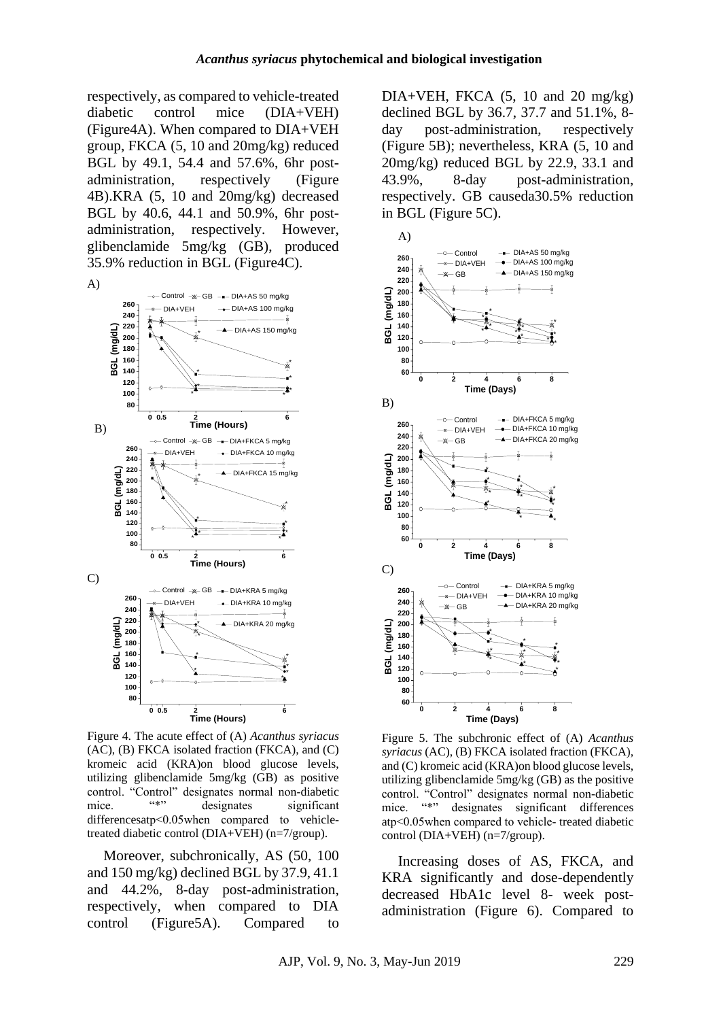respectively, as compared to vehicle-treated diabetic control mice (DIA+VEH) (Figure4A). When compared to DIA+VEH group, FKCA (5, 10 and 20mg/kg) reduced BGL by 49.1, 54.4 and 57.6%, 6hr postadministration, respectively (Figure 4B).KRA (5, 10 and 20mg/kg) decreased BGL by 40.6, 44.1 and 50.9%, 6hr postadministration, respectively. However, glibenclamide 5mg/kg (GB), produced 35.9% reduction in BGL (Figure4C).



Figure 4. The acute effect of (A) *Acanthus syriacus* (AC), (B) FKCA isolated fraction (FKCA), and (C) kromeic acid (KRA)on blood glucose levels, utilizing glibenclamide 5mg/kg (GB) as positive control. "Control" designates normal non-diabetic mice. "\*" designates significant differencesatp˂0.05when compared to vehicletreated diabetic control (DIA+VEH) (n=7/group).

Moreover, subchronically, AS (50, 100 and 150 mg/kg) declined BGL by 37.9, 41.1 and 44.2%, 8-day post-administration, respectively, when compared to DIA control (Figure5A). Compared to

 $DIA+VEH$ , FKCA  $(5, 10 \text{ and } 20 \text{ mg/kg})$ declined BGL by 36.7, 37.7 and 51.1%, 8 day post-administration, respectively (Figure 5B); nevertheless, KRA (5, 10 and 20mg/kg) reduced BGL by 22.9, 33.1 and 43.9%, 8-day post-administration, respectively. GB causeda30.5% reduction in BGL (Figure 5C).



Figure 5. The subchronic effect of (A) *Acanthus syriacus* (AC), (B) FKCA isolated fraction (FKCA), and (C) kromeic acid (KRA)on blood glucose levels, utilizing glibenclamide 5mg/kg (GB) as the positive control. "Control" designates normal non-diabetic mice. "\*" designates significant differences atp˂0.05when compared to vehicle- treated diabetic control (DIA+VEH) (n=7/group).

Increasing doses of AS, FKCA, and KRA significantly and dose-dependently decreased HbA1c level 8- week postadministration (Figure 6). Compared to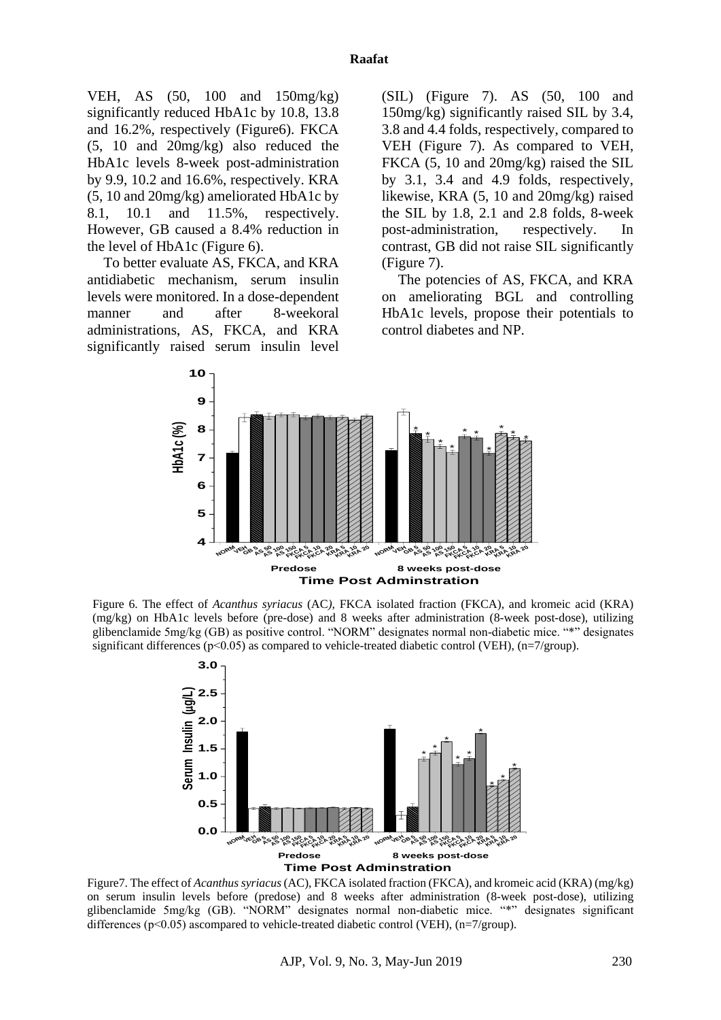VEH, AS (50, 100 and 150mg/kg) significantly reduced HbA1c by 10.8, 13.8 and 16.2%, respectively (Figure6). FKCA (5, 10 and 20mg/kg) also reduced the HbA1c levels 8-week post-administration by 9.9, 10.2 and 16.6%, respectively. KRA (5, 10 and 20mg/kg) ameliorated HbA1c by 8.1, 10.1 and 11.5%, respectively. However, GB caused a 8.4% reduction in the level of HbA1c (Figure 6).

To better evaluate AS, FKCA, and KRA antidiabetic mechanism, serum insulin levels were monitored. In a dose-dependent manner and after 8-weekoral administrations, AS, FKCA, and KRA significantly raised serum insulin level

(SIL) (Figure 7). AS (50, 100 and 150mg/kg) significantly raised SIL by 3.4, 3.8 and 4.4 folds, respectively, compared to VEH (Figure 7). As compared to VEH, FKCA (5, 10 and 20mg/kg) raised the SIL by 3.1, 3.4 and 4.9 folds, respectively, likewise, KRA (5, 10 and 20mg/kg) raised the SIL by 1.8, 2.1 and 2.8 folds, 8-week post-administration, respectively. In contrast, GB did not raise SIL significantly (Figure 7).

The potencies of AS, FKCA, and KRA on ameliorating BGL and controlling HbA1c levels, propose their potentials to control diabetes and NP.



Figure 6. The effect of *Acanthus syriacus* (AC*),* FKCA isolated fraction (FKCA), and kromeic acid (KRA) (mg/kg) on HbA1c levels before (pre-dose) and 8 weeks after administration (8-week post-dose), utilizing glibenclamide 5mg/kg (GB) as positive control. "NORM" designates normal non-diabetic mice. "\*" designates significant differences ( $p<0.05$ ) as compared to vehicle-treated diabetic control (VEH), ( $n=7/$ group).



Figure7. The effect of *Acanthus syriacus*(AC), FKCA isolated fraction (FKCA), and kromeic acid (KRA) (mg/kg) on serum insulin levels before (predose) and 8 weeks after administration (8-week post-dose), utilizing glibenclamide 5mg/kg (GB). "NORM" designates normal non-diabetic mice. "\*" designates significant differences ( $p<0.05$ ) ascompared to vehicle-treated diabetic control (VEH), ( $n=7/$ group).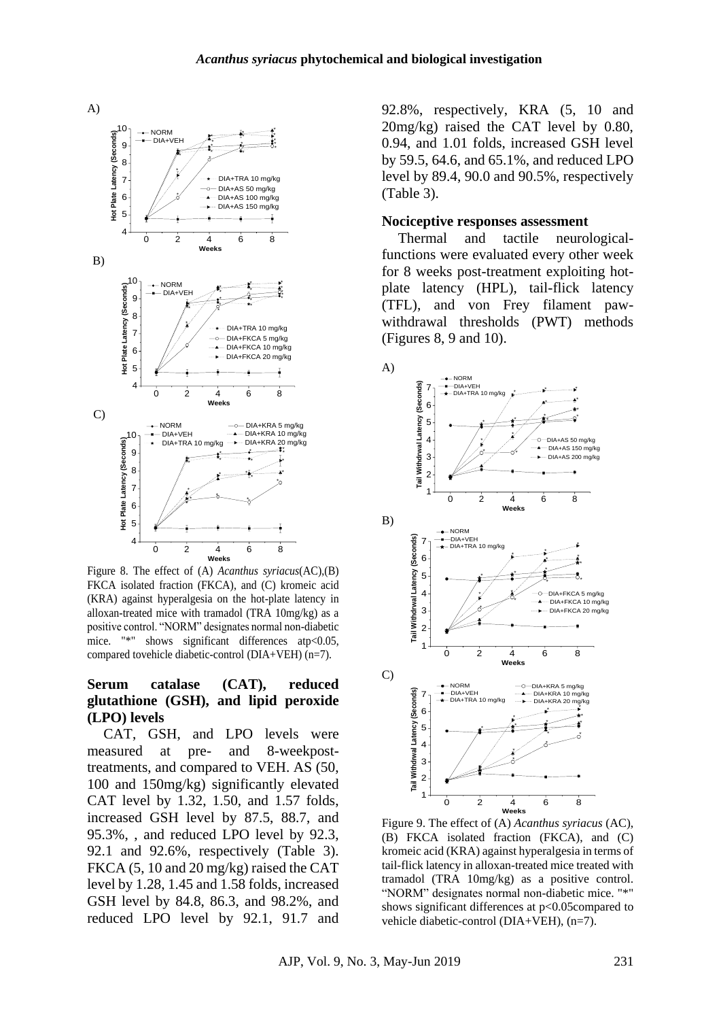

Figure 8. The effect of (A) *Acanthus syriacus*(AC),(B) FKCA isolated fraction (FKCA), and (C) kromeic acid (KRA) against hyperalgesia on the hot-plate latency in alloxan-treated mice with tramadol (TRA 10mg/kg) as a positive control. "NORM" designates normal non-diabetic mice. "\*" shows significant differences atp<0.05, compared tovehicle diabetic-control (DIA+VEH) (n=7).

#### **Serum catalase (CAT), reduced glutathione (GSH), and lipid peroxide (LPO) levels**

CAT, GSH, and LPO levels were measured at pre- and 8-weekposttreatments, and compared to VEH. AS (50, 100 and 150mg/kg) significantly elevated CAT level by 1.32, 1.50, and 1.57 folds, increased GSH level by 87.5, 88.7, and 95.3%, , and reduced LPO level by 92.3, 92.1 and 92.6%, respectively (Table 3). FKCA (5, 10 and 20 mg/kg) raised the CAT level by 1.28, 1.45 and 1.58 folds, increased GSH level by 84.8, 86.3, and 98.2%, and reduced LPO level by 92.1, 91.7 and

92.8%, respectively, KRA (5, 10 and 20mg/kg) raised the CAT level by 0.80, 0.94, and 1.01 folds, increased GSH level by 59.5, 64.6, and 65.1%, and reduced LPO level by 89.4, 90.0 and 90.5%, respectively (Table 3).

#### **Nociceptive responses assessment**

Thermal and tactile neurologicalfunctions were evaluated every other week for 8 weeks post-treatment exploiting hotplate latency (HPL), tail-flick latency (TFL), and von Frey filament pawwithdrawal thresholds (PWT) methods (Figures 8, 9 and 10).



Figure 9. The effect of (A) *Acanthus syriacus* (AC), (B) FKCA isolated fraction (FKCA), and (C) kromeic acid (KRA) against hyperalgesia in terms of tail-flick latency in alloxan-treated mice treated with tramadol (TRA 10mg/kg) as a positive control. "NORM" designates normal non-diabetic mice. "\*" shows significant differences at p<0.05compared to vehicle diabetic-control (DIA+VEH), (n=7).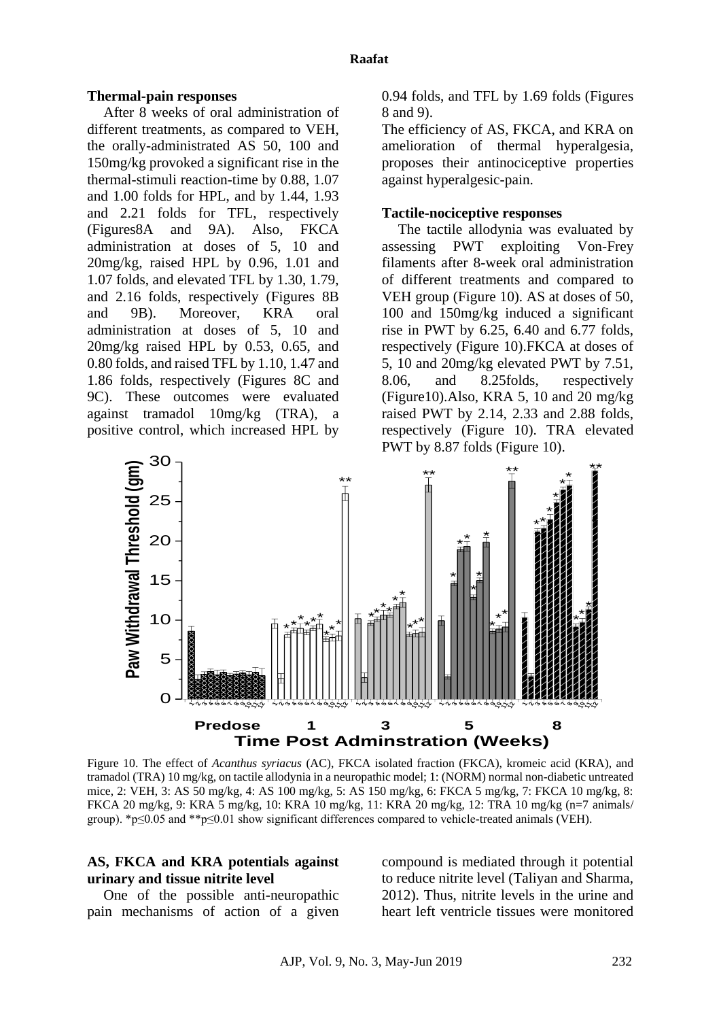#### **Thermal-pain responses**

After 8 weeks of oral administration of different treatments, as compared to VEH, the orally-administrated AS 50, 100 and 150mg/kg provoked a significant rise in the thermal-stimuli reaction-time by 0.88, 1.07 and 1.00 folds for HPL, and by 1.44, 1.93 and 2.21 folds for TFL, respectively (Figures8A and 9A). Also, FKCA administration at doses of 5, 10 and 20mg/kg, raised HPL by 0.96, 1.01 and 1.07 folds, and elevated TFL by 1.30, 1.79, and 2.16 folds, respectively (Figures 8B and 9B). Moreover, KRA oral administration at doses of 5, 10 and 20mg/kg raised HPL by 0.53, 0.65, and 0.80 folds, and raised TFL by 1.10, 1.47 and 1.86 folds, respectively (Figures 8C and 9C). These outcomes were evaluated against tramadol 10mg/kg (TRA), a positive control, which increased HPL by

0.94 folds, and TFL by 1.69 folds (Figures 8 and 9).

The efficiency of AS, FKCA, and KRA on amelioration of thermal hyperalgesia, proposes their antinociceptive properties against hyperalgesic-pain.

#### **Tactile-nociceptive responses**

The tactile allodynia was evaluated by assessing PWT exploiting Von-Frey filaments after 8-week oral administration of different treatments and compared to VEH group (Figure 10). AS at doses of 50, 100 and 150mg/kg induced a significant rise in PWT by 6.25, 6.40 and 6.77 folds, respectively (Figure 10).FKCA at doses of 5, 10 and 20mg/kg elevated PWT by 7.51, 8.06, and 8.25folds, respectively  $(Figure10)$ . Also, KRA 5, 10 and 20 mg/kg raised PWT by 2.14, 2.33 and 2.88 folds, respectively (Figure 10). TRA elevated PWT by 8.87 folds (Figure 10).



Figure 10. The effect of *Acanthus syriacus* (AC), FKCA isolated fraction (FKCA), kromeic acid (KRA), and tramadol (TRA) 10 mg/kg, on tactile allodynia in a neuropathic model; 1: (NORM) normal non-diabetic untreated mice, 2: VEH, 3: AS 50 mg/kg, 4: AS 100 mg/kg, 5: AS 150 mg/kg, 6: FKCA 5 mg/kg, 7: FKCA 10 mg/kg, 8: FKCA 20 mg/kg, 9: KRA 5 mg/kg, 10: KRA 10 mg/kg, 11: KRA 20 mg/kg, 12: TRA 10 mg/kg (n=7 animals/ group). \*p≤0.05 and \*\*p≤0.01 show significant differences compared to vehicle-treated animals (VEH).

#### **AS, FKCA and KRA potentials against urinary and tissue nitrite level**

One of the possible anti-neuropathic pain mechanisms of action of a given compound is mediated through it potential to reduce nitrite level [\(Taliyan and Sharma,](#page-15-2)  [2012\)](#page-15-2). Thus, nitrite levels in the urine and heart left ventricle tissues were monitored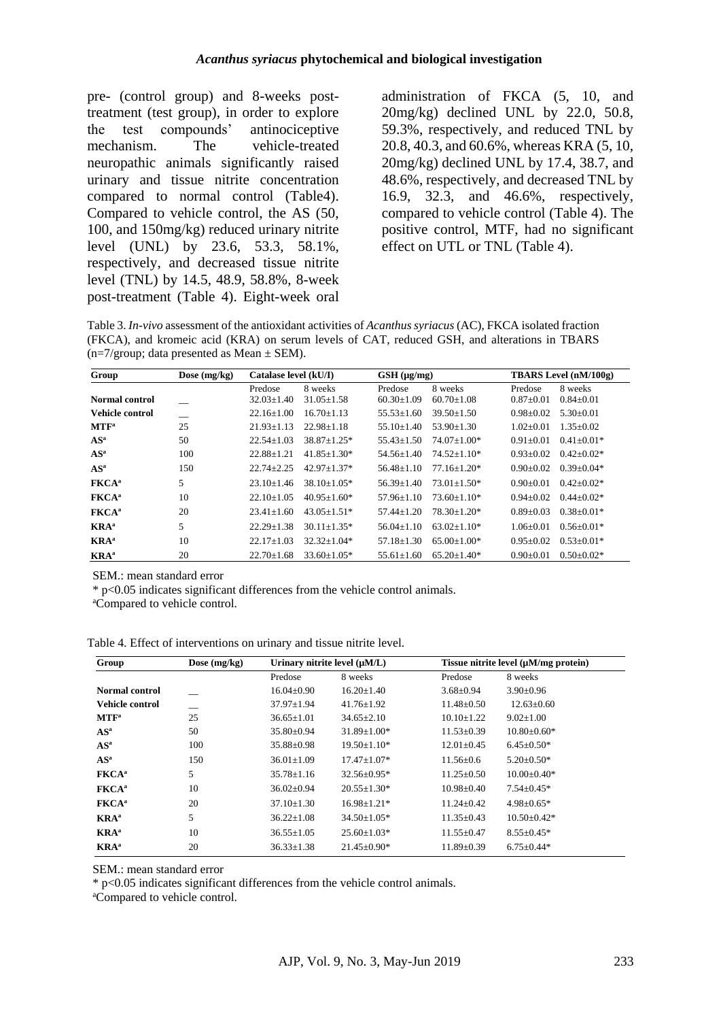pre- (control group) and 8-weeks posttreatment (test group), in order to explore the test compounds' antinociceptive mechanism. The vehicle-treated neuropathic animals significantly raised urinary and tissue nitrite concentration compared to normal control (Table4). Compared to vehicle control, the AS (50, 100, and 150mg/kg) reduced urinary nitrite level (UNL) by 23.6, 53.3, 58.1%, respectively, and decreased tissue nitrite level (TNL) by 14.5, 48.9, 58.8%, 8-week post-treatment (Table 4). Eight-week oral

administration of FKCA (5, 10, and 20mg/kg) declined UNL by 22.0, 50.8, 59.3%, respectively, and reduced TNL by 20.8, 40.3, and 60.6%, whereas KRA (5, 10, 20mg/kg) declined UNL by 17.4, 38.7, and 48.6%, respectively, and decreased TNL by 16.9, 32.3, and 46.6%, respectively, compared to vehicle control (Table 4). The positive control, MTF, had no significant effect on UTL or TNL (Table 4).

Table 3. *In-vivo* assessment of the antioxidant activities of *Acanthus syriacus* (AC), FKCA isolated fraction (FKCA), and kromeic acid (KRA) on serum levels of CAT, reduced GSH, and alterations in TBARS  $(n=7/group; data presented as Mean ± SEM).$ 

| Group                    | Dose $(mg/kg)$ | Catalase level (kU/I) |                   | $GSH$ ( $\mu$ g/mg) |                   | TBARS Level (nM/100g) |                  |
|--------------------------|----------------|-----------------------|-------------------|---------------------|-------------------|-----------------------|------------------|
|                          |                | Predose               | 8 weeks           | Predose             | 8 weeks           | Predose               | 8 weeks          |
| Normal control           |                | $32.03 + 1.40$        | $31.05 + 1.58$    | $60.30 + 1.09$      | $60.70 + 1.08$    | $0.87+0.01$           | $0.84 + 0.01$    |
| Vehicle control          |                | $22.16 \pm 1.00$      | $16.70 + 1.13$    | $55.53 \pm 1.60$    | $39.50 + 1.50$    | $0.98 + 0.02$         | $5.30 \pm 0.01$  |
| MTF <sup>a</sup>         | 25             | $21.93 \pm 1.13$      | $22.98 + 1.18$    | $55.10 + 1.40$      | $53.90 + 1.30$    | $1.02 + 0.01$         | $1.35+0.02$      |
| $AS^a$                   | 50             | $22.54 + 1.03$        | $38.87 + 1.25*$   | $55.43 \pm 1.50$    | $74.07 + 1.00*$   | $0.91 + 0.01$         | $0.41 \pm 0.01*$ |
| $AS^a$                   | 100            | $22.88 + 1.21$        | $41.85 + 1.30*$   | $54.56 + 1.40$      | $74.52 + 1.10*$   | $0.93 + 0.02$         | $0.42 + 0.02*$   |
| $AS^a$                   | 150            | $22.74 + 2.25$        | $42.97 + 1.37*$   | $56.48 + 1.10$      | $77.16 + 1.20*$   | $0.90 + 0.02$         | $0.39 \pm 0.04*$ |
| <b>FKCA</b> <sup>a</sup> | 5              | $23.10 + 1.46$        | $38.10 + 1.05*$   | $56.39 + 1.40$      | $73.01 + 1.50*$   | $0.90 + 0.01$         | $0.42 \pm 0.02*$ |
| <b>FKCA</b> <sup>a</sup> | 10             | $22.10 + 1.05$        | $40.95+1.60*$     | $57.96 + 1.10$      | $73.60 \pm 1.10*$ | $0.94 + 0.02$         | $0.44 + 0.02*$   |
| <b>FKCA</b> <sup>a</sup> | 20             | $23.41 + 1.60$        | $43.05 + 1.51*$   | $57.44 + 1.20$      | $78.30 \pm 1.20*$ | $0.89 + 0.03$         | $0.38 \pm 0.01*$ |
| <b>KRA</b> <sup>a</sup>  | 5              | $22.29 + 1.38$        | $30.11 + 1.35*$   | $56.04 + 1.10$      | $63.02 + 1.10*$   | $1.06 + 0.01$         | $0.56 \pm 0.01*$ |
| <b>KRA</b> <sup>a</sup>  | 10             | $22.17 + 1.03$        | $32.32 + 1.04*$   | $57.18 + 1.30$      | $65.00+1.00*$     | $0.95 + 0.02$         | $0.53 \pm 0.01*$ |
| $KRA^a$                  | 20             | $22.70 + 1.68$        | $33.60 \pm 1.05*$ | $55.61 \pm 1.60$    | $65.20 \pm 1.40*$ | $0.90 + 0.01$         | $0.50 \pm 0.02*$ |

SEM.: mean standard error

\* p<0.05 indicates significant differences from the vehicle control animals.

<sup>a</sup>Compared to vehicle control.

Table 4. Effect of interventions on urinary and tissue nitrite level.

| Group                    | Dose $(mg/kg)$ | Urinary nitrite level $(\mu M/L)$ |                   | Tissue nitrite level $(\mu M/mg$ protein) |                   |  |
|--------------------------|----------------|-----------------------------------|-------------------|-------------------------------------------|-------------------|--|
|                          |                | Predose                           | 8 weeks           | Predose                                   | 8 weeks           |  |
| <b>Normal control</b>    |                | $16.04 \pm 0.90$                  | $16.20 \pm 1.40$  | $3.68 \pm 0.94$                           | $3.90 \pm 0.96$   |  |
| Vehicle control          |                | $37.97 \pm 1.94$                  | $41.76 \pm 1.92$  | $11.48 \pm 0.50$                          | $12.63 \pm 0.60$  |  |
| MTF <sup>a</sup>         | 25             | $36.65 \pm 1.01$                  | $34.65 \pm 2.10$  | $10.10 \pm 1.22$                          | $9.02 \pm 1.00$   |  |
| $AS^a$                   | 50             | $35.80 \pm 0.94$                  | $31.89 \pm 1.00*$ | $11.53 \pm 0.39$                          | $10.80 \pm 0.60*$ |  |
| $AS^a$                   | 100            | $35.88 \pm 0.98$                  | $19.50 \pm 1.10*$ | $12.01 \pm 0.45$                          | $6.45 \pm 0.50*$  |  |
| $AS^a$                   | 150            | $36.01 \pm 1.09$                  | $17.47 \pm 1.07*$ | $11.56 \pm 0.6$                           | $5.20 \pm 0.50^*$ |  |
| <b>FKCA</b> <sup>a</sup> | 5              | $35.78 \pm 1.16$                  | $32.56 \pm 0.95*$ | $11.25 \pm 0.50$                          | $10.00 \pm 0.40*$ |  |
| <b>FKCA</b> <sup>a</sup> | 10             | $36.02 \pm 0.94$                  | $20.55 \pm 1.30*$ | $10.98 \pm 0.40$                          | $7.54 \pm 0.45*$  |  |
| <b>FKCA</b> <sup>a</sup> | 20             | $37.10 \pm 1.30$                  | $16.98 \pm 1.21*$ | $11.24 \pm 0.42$                          | $4.98 \pm 0.65*$  |  |
| <b>KRA</b> <sup>a</sup>  | 5              | $36.22 \pm 1.08$                  | $34.50 \pm 1.05*$ | $11.35 \pm 0.43$                          | $10.50 \pm 0.42*$ |  |
| <b>KRA</b> <sup>a</sup>  | 10             | $36.55 \pm 1.05$                  | $25.60 \pm 1.03*$ | $11.55 \pm 0.47$                          | $8.55 \pm 0.45*$  |  |
| <b>KRA</b> <sup>a</sup>  | 20             | $36.33 \pm 1.38$                  | $21.45 \pm 0.90*$ | $11.89 \pm 0.39$                          | $6.75 \pm 0.44*$  |  |

SEM.: mean standard error

\* p<0.05 indicates significant differences from the vehicle control animals.

<sup>a</sup>Compared to vehicle control.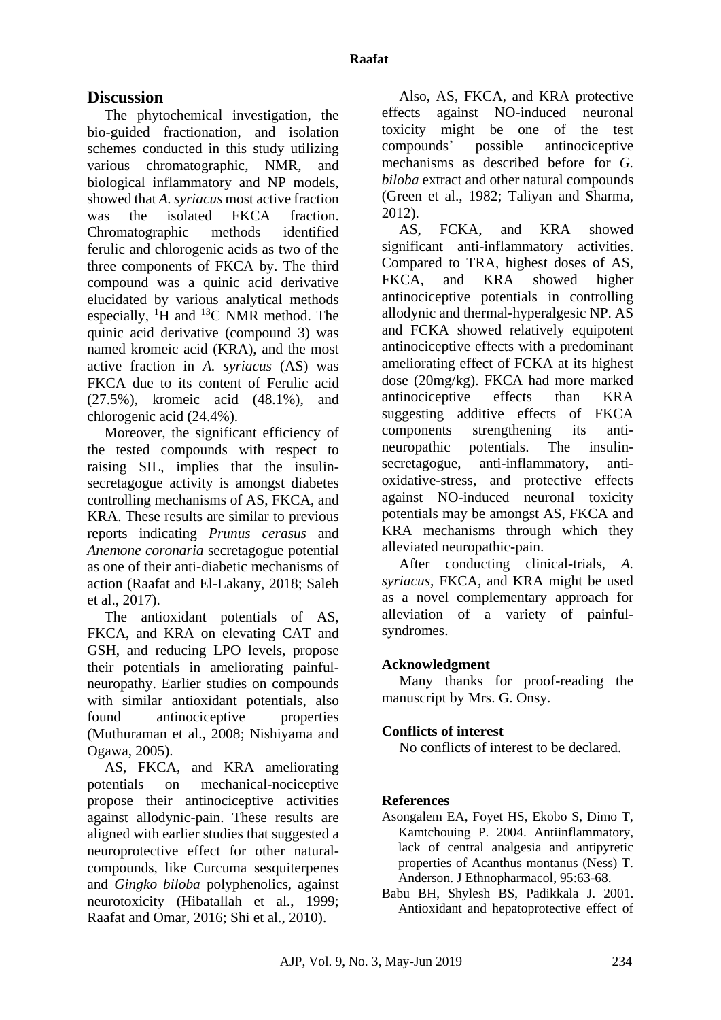# **Discussion**

The phytochemical investigation, the bio-guided fractionation, and isolation schemes conducted in this study utilizing various chromatographic, NMR, and biological inflammatory and NP models, showed that *A. syriacus* most active fraction was the isolated FKCA fraction. Chromatographic methods identified ferulic and chlorogenic acids as two of the three components of FKCA by. The third compound was a quinic acid derivative elucidated by various analytical methods especially,  ${}^{1}H$  and  ${}^{13}C$  NMR method. The quinic acid derivative (compound 3) was named kromeic acid (KRA), and the most active fraction in *A. syriacus* (AS) was FKCA due to its content of Ferulic acid (27.5%), kromeic acid (48.1%), and chlorogenic acid (24.4%).

Moreover, the significant efficiency of the tested compounds with respect to raising SIL, implies that the insulinsecretagogue activity is amongst diabetes controlling mechanisms of AS, FKCA, and KRA. These results are similar to previous reports indicating *Prunus cerasus* and *Anemone coronaria* secretagogue potential as one of their anti-diabetic mechanisms of action [\(Raafat and El-Lakany, 2018;](#page-15-8) [Saleh](#page-15-9)  [et al., 2017\)](#page-15-9).

The antioxidant potentials of AS, FKCA, and KRA on elevating CAT and GSH, and reducing LPO levels, propose their potentials in ameliorating painfulneuropathy. Earlier studies on compounds with similar antioxidant potentials, also found antinociceptive properties [\(Muthuraman et al., 2008;](#page-14-19) [Nishiyama and](#page-14-20)  [Ogawa, 2005\)](#page-14-20).

AS, FKCA, and KRA ameliorating potentials on mechanical-nociceptive propose their antinociceptive activities against allodynic-pain. These results are aligned with earlier studies that suggested a neuroprotective effect for other naturalcompounds, like Curcuma sesquiterpenes and *Gingko biloba* polyphenolics, against neurotoxicity [\(Hibatallah et al., 1999;](#page-14-21) [Raafat and Omar, 2016;](#page-15-10) [Shi et al., 2010\)](#page-15-11).

Also, AS, FKCA, and KRA protective effects against NO-induced neuronal toxicity might be one of the test compounds' possible antinociceptive mechanisms as described before for *G. biloba* extract and other natural compounds [\(Green et al., 1982;](#page-14-18) [Taliyan and Sharma,](#page-15-2)  [2012\)](#page-15-2).

AS, FCKA, and KRA showed significant anti-inflammatory activities. Compared to TRA, highest doses of AS, FKCA, and KRA showed higher antinociceptive potentials in controlling allodynic and thermal-hyperalgesic NP. AS and FCKA showed relatively equipotent antinociceptive effects with a predominant ameliorating effect of FCKA at its highest dose (20mg/kg). FKCA had more marked antinociceptive effects than KRA suggesting additive effects of FKCA components strengthening its antineuropathic potentials. The insulinsecretagogue, anti-inflammatory, antioxidative-stress, and protective effects against NO-induced neuronal toxicity potentials may be amongst AS, FKCA and KRA mechanisms through which they alleviated neuropathic-pain.

After conducting clinical-trials, *A. syriacus,* FKCA, and KRA might be used as a novel complementary approach for alleviation of a variety of painfulsyndromes.

## **Acknowledgment**

Many thanks for proof-reading the manuscript by Mrs. G. Onsy.

## **Conflicts of interest**

No conflicts of interest to be declared.

## <span id="page-13-0"></span>**References**

- <span id="page-13-1"></span>Asongalem EA, Foyet HS, Ekobo S, Dimo T, Kamtchouing P. 2004. Antiinflammatory, lack of central analgesia and antipyretic properties of Acanthus montanus (Ness) T. Anderson. J Ethnopharmacol, 95:63-68.
- Babu BH, Shylesh BS, Padikkala J. 2001. Antioxidant and hepatoprotective effect of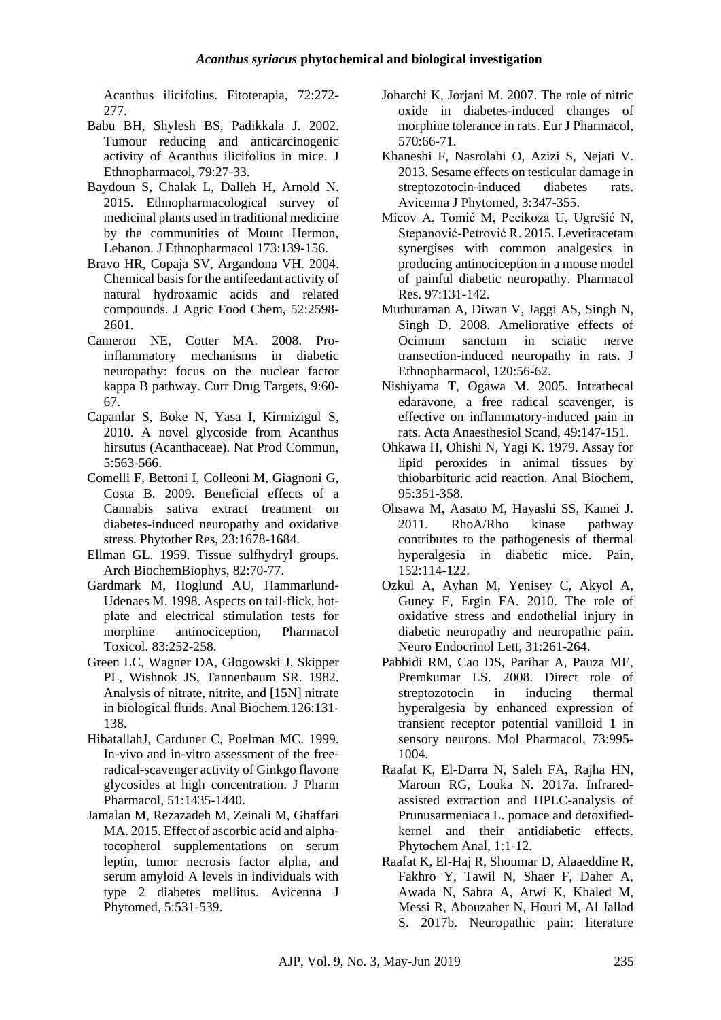Acanthus ilicifolius. Fitoterapia, 72:272- 277.

- <span id="page-14-1"></span>Babu BH, Shylesh BS, Padikkala J. 2002. Tumour reducing and anticarcinogenic activity of Acanthus ilicifolius in mice. J Ethnopharmacol, 79:27-33.
- <span id="page-14-3"></span>Baydoun S, Chalak L, Dalleh H, Arnold N. 2015. Ethnopharmacological survey of medicinal plants used in traditional medicine by the communities of Mount Hermon, Lebanon. J Ethnopharmacol 173:139-156.
- <span id="page-14-2"></span>Bravo HR, Copaja SV, Argandona VH. 2004. Chemical basis for the antifeedant activity of natural hydroxamic acids and related compounds. J Agric Food Chem, 52:2598- 2601.
- <span id="page-14-6"></span>Cameron NE, Cotter MA. 2008. Proinflammatory mechanisms in diabetic neuropathy: focus on the nuclear factor kappa B pathway. Curr Drug Targets, 9:60- 67.
- <span id="page-14-0"></span>Capanlar S, Boke N, Yasa I, Kirmizigul S, 2010. A novel glycoside from Acanthus hirsutus (Acanthaceae). Nat Prod Commun, 5:563-566.
- <span id="page-14-8"></span>Comelli F, Bettoni I, Colleoni M, Giagnoni G, Costa B. 2009. Beneficial effects of a Cannabis sativa extract treatment on diabetes-induced neuropathy and oxidative stress. Phytother Res, 23:1678-1684.
- <span id="page-14-14"></span>Ellman GL. 1959. Tissue sulfhydryl groups. Arch BiochemBiophys, 82:70-77.
- <span id="page-14-10"></span>Gardmark M, Hoglund AU, Hammarlund-Udenaes M. 1998. Aspects on tail-flick, hotplate and electrical stimulation tests for morphine antinociception, Pharmacol Toxicol. 83:252-258.
- <span id="page-14-18"></span>Green LC, Wagner DA, Glogowski J, Skipper PL, Wishnok JS, Tannenbaum SR. 1982. Analysis of nitrate, nitrite, and [15N] nitrate in biological fluids. Anal Biochem.126:131- 138.
- <span id="page-14-21"></span>HibatallahJ, Carduner C, Poelman MC. 1999. In-vivo and in-vitro assessment of the freeradical-scavenger activity of Ginkgo flavone glycosides at high concentration. J Pharm Pharmacol, 51:1435-1440.
- <span id="page-14-11"></span>Jamalan M, Rezazadeh M, Zeinali M, Ghaffari MA. 2015. Effect of ascorbic acid and alphatocopherol supplementations on serum leptin, tumor necrosis factor alpha, and serum amyloid A levels in individuals with type 2 diabetes mellitus. Avicenna J Phytomed, 5:531-539.
- <span id="page-14-7"></span>Joharchi K, Jorjani M. 2007. The role of nitric oxide in diabetes-induced changes of morphine tolerance in rats. Eur J Pharmacol, 570:66-71.
- <span id="page-14-12"></span>Khaneshi F, Nasrolahi O, Azizi S, Nejati V. 2013. Sesame effects on testicular damage in streptozotocin-induced diabetes rats. Avicenna J Phytomed, 3:347-355.
- <span id="page-14-16"></span>Micov A, Tomić M, Pecikoza U, Ugrešić N, Stepanović-Petrović R. 2015. Levetiracetam synergises with common analgesics in producing antinociception in a mouse model of painful diabetic neuropathy. Pharmacol Res. 97:131-142.
- <span id="page-14-19"></span>Muthuraman A, Diwan V, Jaggi AS, Singh N, Singh D. 2008. Ameliorative effects of Ocimum sanctum in sciatic nerve transection-induced neuropathy in rats. J Ethnopharmacol, 120:56-62.
- <span id="page-14-20"></span>Nishiyama T, Ogawa M. 2005. Intrathecal edaravone, a free radical scavenger, is effective on inflammatory-induced pain in rats. Acta Anaesthesiol Scand, 49:147-151.
- <span id="page-14-15"></span>Ohkawa H, Ohishi N, Yagi K. 1979. Assay for lipid peroxides in animal tissues by thiobarbituric acid reaction. Anal Biochem, 95:351-358.
- <span id="page-14-17"></span>Ohsawa M, Aasato M, Hayashi SS, Kamei J. 2011. RhoA/Rho kinase pathway contributes to the pathogenesis of thermal hyperalgesia in diabetic mice. Pain, 152:114-122.
- <span id="page-14-5"></span>Ozkul A, Ayhan M, Yenisey C, Akyol A, Guney E, Ergin FA. 2010. The role of oxidative stress and endothelial injury in diabetic neuropathy and neuropathic pain. Neuro Endocrinol Lett, 31:261-264.
- <span id="page-14-4"></span>Pabbidi RM, Cao DS, Parihar A, Pauza ME, Premkumar LS. 2008. Direct role of streptozotocin in inducing thermal hyperalgesia by enhanced expression of transient receptor potential vanilloid 1 in sensory neurons. Mol Pharmacol, 73:995- 1004.
- <span id="page-14-13"></span>Raafat K, El-Darra N, Saleh FA, Rajha HN, Maroun RG, Louka N. 2017a. Infraredassisted extraction and HPLC-analysis of Prunusarmeniaca L. pomace and detoxifiedkernel and their antidiabetic effects. Phytochem Anal, 1:1-12.
- <span id="page-14-9"></span>Raafat K, El-Haj R, Shoumar D, Alaaeddine R, Fakhro Y, Tawil N, Shaer F, Daher A, Awada N, Sabra A, Atwi K, Khaled M, Messi R, Abouzaher N, Houri M, Al Jallad S. 2017b. Neuropathic pain: literature